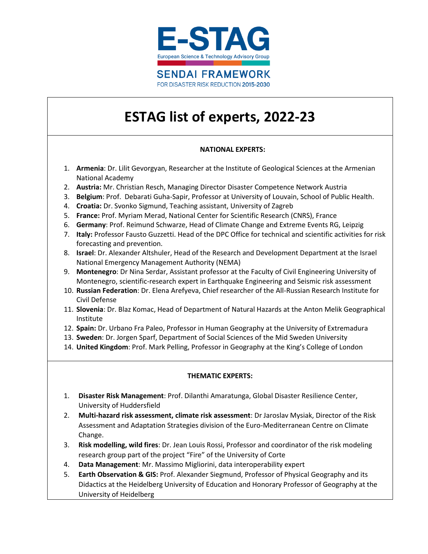

# **ESTAG list of experts, 2022-23**

#### **NATIONAL EXPERTS:**

- 1. **Armenia**: Dr. Lilit Gevorgyan, Researcher at the Institute of Geological Sciences at the Armenian National Academy
- 2. **Austria:** Mr. Christian Resch, Managing Director Disaster Competence Network Austria
- 3. **Belgium**: Prof. Debarati Guha-Sapir, Professor at University of Louvain, School of Public Health.
- 4. **Croatia:** Dr. Svonko Sigmund, Teaching assistant, University of Zagreb
- 5. **France:** Prof. Myriam Merad, National Center for Scientific Research (CNRS), France
- 6. **Germany**: Prof. Reimund Schwarze, Head of Climate Change and Extreme Events RG, Leipzig
- 7. **Italy:** Professor Fausto Guzzetti. Head of the DPC Office for technical and scientific activities for risk forecasting and prevention.
- 8. **Israel**: Dr. Alexander Altshuler, Head of the Research and Development Department at the Israel National Emergency Management Authority (NEMA)
- 9. **Montenegro**: Dr Nina Serdar, Assistant professor at the Faculty of Civil Engineering University of Montenegro, scientific-research expert in Earthquake Engineering and Seismic risk assessment
- 10. **Russian Federation**: Dr. Elena Arefyeva, Chief researcher of the All-Russian Research Institute for Civil Defense
- 11. **Slovenia**: Dr. Blaz Komac, Head of Department of Natural Hazards at the Anton Melik Geographical Institute
- 12. **Spain:** Dr. Urbano Fra Paleo, Professor in Human Geography at the University of Extremadura
- 13. **Sweden**: Dr. Jorgen Sparf, Department of Social Sciences of the Mid Sweden University
- 14. **United Kingdom**: Prof. Mark Pelling, Professor in Geography at the King's College of London

#### **THEMATIC EXPERTS:**

- 1. **Disaster Risk Management**: Prof. Dilanthi Amaratunga, Global Disaster Resilience Center, University of Huddersfield
- 2. **Multi-hazard risk assessment, climate risk assessment**: Dr Jaroslav Mysiak, Director of the Risk Assessment and Adaptation Strategies division of the Euro-Mediterranean Centre on Climate Change.
- 3. **Risk modelling, wild fires**: Dr. Jean Louis Rossi, Professor and coordinator of the risk modeling research group part of the project "Fire" of the University of Corte
- 4. **Data Management**: Mr. Massimo Migliorini, data interoperability expert
- 5. **Earth Observation & GIS:** Prof. Alexander Siegmund, Professor of Physical Geography and its Didactics at the Heidelberg University of Education and Honorary Professor of Geography at the University of Heidelberg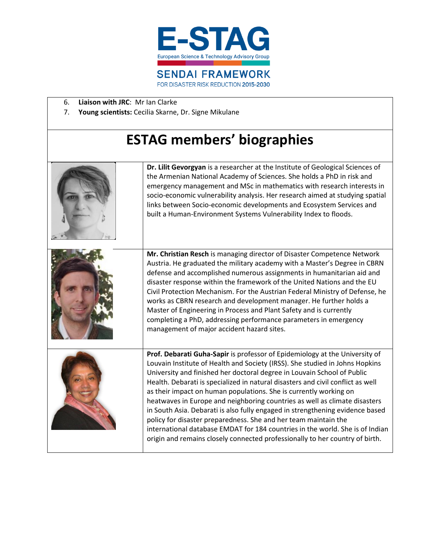

- 6. **Liaison with JRC**: Mr Ian Clarke
- 7. **Young scientists:** Cecilia Skarne, Dr. Signe Mikulane

# **ESTAG members' biographies**

| Dr. Lilit Gevorgyan is a researcher at the Institute of Geological Sciences of<br>the Armenian National Academy of Sciences. She holds a PhD in risk and<br>emergency management and MSc in mathematics with research interests in<br>socio-economic vulnerability analysis. Her research aimed at studying spatial<br>links between Socio-economic developments and Ecosystem Services and<br>built a Human-Environment Systems Vulnerability Index to floods.                                                                                                                                                                                                                                                                                                                                   |
|---------------------------------------------------------------------------------------------------------------------------------------------------------------------------------------------------------------------------------------------------------------------------------------------------------------------------------------------------------------------------------------------------------------------------------------------------------------------------------------------------------------------------------------------------------------------------------------------------------------------------------------------------------------------------------------------------------------------------------------------------------------------------------------------------|
| Mr. Christian Resch is managing director of Disaster Competence Network<br>Austria. He graduated the military academy with a Master's Degree in CBRN<br>defense and accomplished numerous assignments in humanitarian aid and<br>disaster response within the framework of the United Nations and the EU<br>Civil Protection Mechanism. For the Austrian Federal Ministry of Defense, he<br>works as CBRN research and development manager. He further holds a<br>Master of Engineering in Process and Plant Safety and is currently<br>completing a PhD, addressing performance parameters in emergency<br>management of major accident hazard sites.                                                                                                                                            |
| Prof. Debarati Guha-Sapir is professor of Epidemiology at the University of<br>Louvain Institute of Health and Society (IRSS). She studied in Johns Hopkins<br>University and finished her doctoral degree in Louvain School of Public<br>Health. Debarati is specialized in natural disasters and civil conflict as well<br>as their impact on human populations. She is currently working on<br>heatwaves in Europe and neighboring countries as well as climate disasters<br>in South Asia. Debarati is also fully engaged in strengthening evidence based<br>policy for disaster preparedness. She and her team maintain the<br>international database EMDAT for 184 countries in the world. She is of Indian<br>origin and remains closely connected professionally to her country of birth. |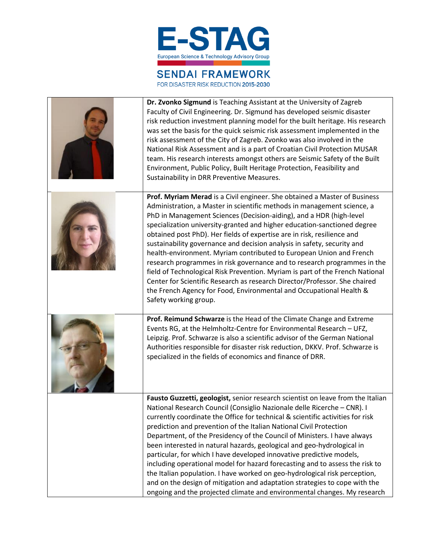

## **SENDAI FRAMEWORK**

FOR DISASTER RISK REDUCTION 2015-2030

| Dr. Zvonko Sigmund is Teaching Assistant at the University of Zagreb<br>Faculty of Civil Engineering. Dr. Sigmund has developed seismic disaster<br>risk reduction investment planning model for the built heritage. His research<br>was set the basis for the quick seismic risk assessment implemented in the<br>risk assessment of the City of Zagreb. Zvonko was also involved in the<br>National Risk Assessment and is a part of Croatian Civil Protection MUSAR<br>team. His research interests amongst others are Seismic Safety of the Built<br>Environment, Public Policy, Built Heritage Protection, Feasibility and<br>Sustainability in DRR Preventive Measures.                                                                                                                                                                                                   |
|---------------------------------------------------------------------------------------------------------------------------------------------------------------------------------------------------------------------------------------------------------------------------------------------------------------------------------------------------------------------------------------------------------------------------------------------------------------------------------------------------------------------------------------------------------------------------------------------------------------------------------------------------------------------------------------------------------------------------------------------------------------------------------------------------------------------------------------------------------------------------------|
| Prof. Myriam Merad is a Civil engineer. She obtained a Master of Business<br>Administration, a Master in scientific methods in management science, a<br>PhD in Management Sciences (Decision-aiding), and a HDR (high-level<br>specialization university-granted and higher education-sanctioned degree<br>obtained post PhD). Her fields of expertise are in risk, resilience and<br>sustainability governance and decision analysis in safety, security and<br>health-environment. Myriam contributed to European Union and French<br>research programmes in risk governance and to research programmes in the<br>field of Technological Risk Prevention. Myriam is part of the French National<br>Center for Scientific Research as research Director/Professor. She chaired<br>the French Agency for Food, Environmental and Occupational Health &<br>Safety working group. |
| Prof. Reimund Schwarze is the Head of the Climate Change and Extreme<br>Events RG, at the Helmholtz-Centre for Environmental Research - UFZ,<br>Leipzig. Prof. Schwarze is also a scientific advisor of the German National<br>Authorities responsible for disaster risk reduction, DKKV. Prof. Schwarze is<br>specialized in the fields of economics and finance of DRR.                                                                                                                                                                                                                                                                                                                                                                                                                                                                                                       |
| Fausto Guzzetti, geologist, senior research scientist on leave from the Italian<br>National Research Council (Consiglio Nazionale delle Ricerche - CNR). I<br>currently coordinate the Office for technical & scientific activities for risk<br>prediction and prevention of the Italian National Civil Protection<br>Department, of the Presidency of the Council of Ministers. I have always<br>been interested in natural hazards, geological and geo-hydrological in<br>particular, for which I have developed innovative predictive models,<br>including operational model for hazard forecasting and to assess the risk to<br>the Italian population. I have worked on geo-hydrological risk perception,<br>and on the design of mitigation and adaptation strategies to cope with the<br>ongoing and the projected climate and environmental changes. My research        |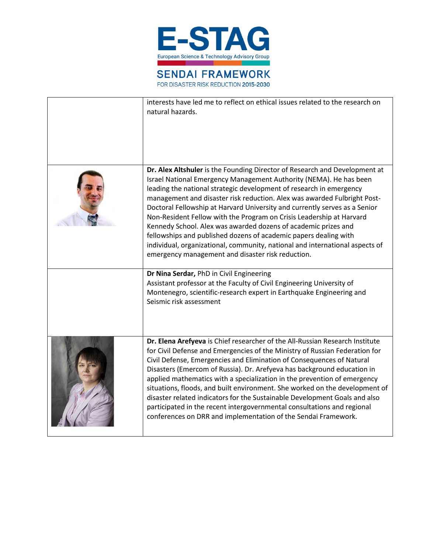

| interests have led me to reflect on ethical issues related to the research on<br>natural hazards.                                                                                                                                                                                                                                                                                                                                                                                                                                                                                                                                                                                                                                    |
|--------------------------------------------------------------------------------------------------------------------------------------------------------------------------------------------------------------------------------------------------------------------------------------------------------------------------------------------------------------------------------------------------------------------------------------------------------------------------------------------------------------------------------------------------------------------------------------------------------------------------------------------------------------------------------------------------------------------------------------|
| Dr. Alex Altshuler is the Founding Director of Research and Development at<br>Israel National Emergency Management Authority (NEMA). He has been<br>leading the national strategic development of research in emergency<br>management and disaster risk reduction. Alex was awarded Fulbright Post-<br>Doctoral Fellowship at Harvard University and currently serves as a Senior<br>Non-Resident Fellow with the Program on Crisis Leadership at Harvard<br>Kennedy School. Alex was awarded dozens of academic prizes and<br>fellowships and published dozens of academic papers dealing with<br>individual, organizational, community, national and international aspects of<br>emergency management and disaster risk reduction. |
| Dr Nina Serdar, PhD in Civil Engineering<br>Assistant professor at the Faculty of Civil Engineering University of<br>Montenegro, scientific-research expert in Earthquake Engineering and<br>Seismic risk assessment                                                                                                                                                                                                                                                                                                                                                                                                                                                                                                                 |
| Dr. Elena Arefyeva is Chief researcher of the All-Russian Research Institute<br>for Civil Defense and Emergencies of the Ministry of Russian Federation for<br>Civil Defense, Emergencies and Elimination of Consequences of Natural<br>Disasters (Emercom of Russia). Dr. Arefyeva has background education in<br>applied mathematics with a specialization in the prevention of emergency<br>situations, floods, and built environment. She worked on the development of<br>disaster related indicators for the Sustainable Development Goals and also<br>participated in the recent intergovernmental consultations and regional<br>conferences on DRR and implementation of the Sendai Framework.                                |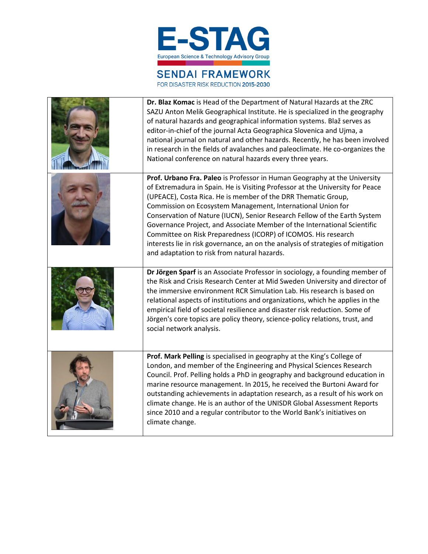

## **SENDAI FRAMEWORK**

FOR DISASTER RISK REDUCTION 2015-2030

| Dr. Blaz Komac is Head of the Department of Natural Hazards at the ZRC<br>SAZU Anton Melik Geographical Institute. He is specialized in the geography<br>of natural hazards and geographical information systems. Blaž serves as<br>editor-in-chief of the journal Acta Geographica Slovenica and Ujma, a<br>national journal on natural and other hazards. Recently, he has been involved<br>in research in the fields of avalanches and paleoclimate. He co-organizes the<br>National conference on natural hazards every three years.                                                                                                                  |
|-----------------------------------------------------------------------------------------------------------------------------------------------------------------------------------------------------------------------------------------------------------------------------------------------------------------------------------------------------------------------------------------------------------------------------------------------------------------------------------------------------------------------------------------------------------------------------------------------------------------------------------------------------------|
| Prof. Urbano Fra. Paleo is Professor in Human Geography at the University<br>of Extremadura in Spain. He is Visiting Professor at the University for Peace<br>(UPEACE), Costa Rica. He is member of the DRR Thematic Group,<br>Commission on Ecosystem Management, International Union for<br>Conservation of Nature (IUCN), Senior Research Fellow of the Earth System<br>Governance Project, and Associate Member of the International Scientific<br>Committee on Risk Preparedness (ICORP) of ICOMOS. His research<br>interests lie in risk governance, an on the analysis of strategies of mitigation<br>and adaptation to risk from natural hazards. |
| Dr Jörgen Sparf is an Associate Professor in sociology, a founding member of<br>the Risk and Crisis Research Center at Mid Sweden University and director of<br>the immersive environment RCR Simulation Lab. His research is based on<br>relational aspects of institutions and organizations, which he applies in the<br>empirical field of societal resilience and disaster risk reduction. Some of<br>Jörgen's core topics are policy theory, science-policy relations, trust, and<br>social network analysis.                                                                                                                                        |
| Prof. Mark Pelling is specialised in geography at the King's College of<br>London, and member of the Engineering and Physical Sciences Research<br>Council. Prof. Pelling holds a PhD in geography and background education in<br>marine resource management. In 2015, he received the Burtoni Award for<br>outstanding achievements in adaptation research, as a result of his work on<br>climate change. He is an author of the UNISDR Global Assessment Reports<br>since 2010 and a regular contributor to the World Bank's initiatives on<br>climate change.                                                                                          |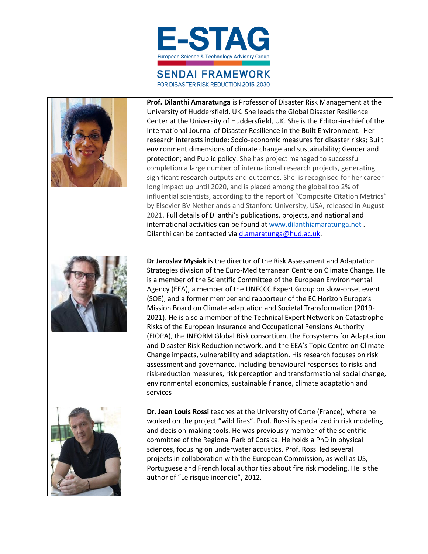

## **SENDAI FRAMEWORK**

FOR DISASTER RISK REDUCTION 2015-2030

r

| <b>Prof. Dilanthi Amaratunga</b> is Professor of Disaster Risk Management at the<br>University of Huddersfield, UK. She leads the Global Disaster Resilience<br>Center at the University of Huddersfield, UK. She is the Editor-in-chief of the<br>International Journal of Disaster Resilience in the Built Environment. Her<br>research interests include: Socio-economic measures for disaster risks; Built<br>environment dimensions of climate change and sustainability; Gender and<br>protection; and Public policy. She has project managed to successful<br>completion a large number of international research projects, generating<br>significant research outputs and outcomes. She is recognised for her career-<br>long impact up until 2020, and is placed among the global top 2% of<br>influential scientists, according to the report of "Composite Citation Metrics"<br>by Elsevier BV Netherlands and Stanford University, USA, released in August<br>2021. Full details of Dilanthi's publications, projects, and national and<br>international activities can be found at www.dilanthiamaratunga.net.<br>Dilanthi can be contacted via d.amaratunga@hud.ac.uk. |
|--------------------------------------------------------------------------------------------------------------------------------------------------------------------------------------------------------------------------------------------------------------------------------------------------------------------------------------------------------------------------------------------------------------------------------------------------------------------------------------------------------------------------------------------------------------------------------------------------------------------------------------------------------------------------------------------------------------------------------------------------------------------------------------------------------------------------------------------------------------------------------------------------------------------------------------------------------------------------------------------------------------------------------------------------------------------------------------------------------------------------------------------------------------------------------------|
| Dr Jaroslav Mysiak is the director of the Risk Assessment and Adaptation<br>Strategies division of the Euro-Mediterranean Centre on Climate Change. He<br>is a member of the Scientific Committee of the European Environmental<br>Agency (EEA), a member of the UNFCCC Expert Group on slow-onset event<br>(SOE), and a former member and rapporteur of the EC Horizon Europe's<br>Mission Board on Climate adaptation and Societal Transformation (2019-<br>2021). He is also a member of the Technical Expert Network on Catastrophe<br>Risks of the European Insurance and Occupational Pensions Authority<br>(EIOPA), the INFORM Global Risk consortium, the Ecosystems for Adaptation<br>and Disaster Risk Reduction network, and the EEA's Topic Centre on Climate<br>Change impacts, vulnerability and adaptation. His research focuses on risk<br>assessment and governance, including behavioural responses to risks and<br>risk-reduction measures, risk perception and transformational social change,<br>environmental economics, sustainable finance, climate adaptation and<br>services                                                                               |
| Dr. Jean Louis Rossi teaches at the University of Corte (France), where he<br>worked on the project "wild fires". Prof. Rossi is specialized in risk modeling<br>and decision-making tools. He was previously member of the scientific<br>committee of the Regional Park of Corsica. He holds a PhD in physical<br>sciences, focusing on underwater acoustics. Prof. Rossi led several<br>projects in collaboration with the European Commission, as well as US,<br>Portuguese and French local authorities about fire risk modeling. He is the<br>author of "Le risque incendie", 2012.                                                                                                                                                                                                                                                                                                                                                                                                                                                                                                                                                                                             |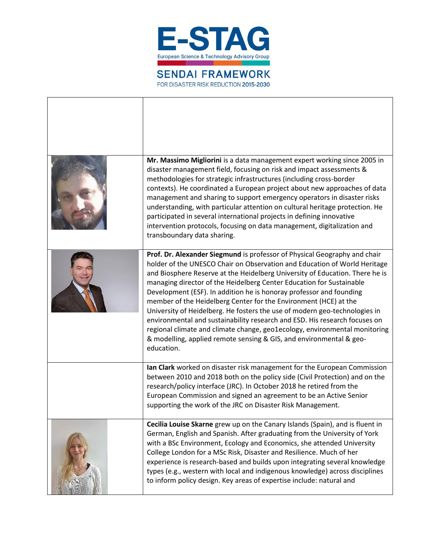

| Mr. Massimo Migliorini is a data management expert working since 2005 in<br>disaster management field, focusing on risk and impact assessments &<br>methodologies for strategic infrastructures (including cross-border<br>contexts). He coordinated a European project about new approaches of data<br>management and sharing to support emergency operators in disaster risks<br>understanding, with particular attention on cultural heritage protection. He<br>participated in several international projects in defining innovative<br>intervention protocols, focusing on data management, digitalization and                                                                                                                                                                                                     |
|-------------------------------------------------------------------------------------------------------------------------------------------------------------------------------------------------------------------------------------------------------------------------------------------------------------------------------------------------------------------------------------------------------------------------------------------------------------------------------------------------------------------------------------------------------------------------------------------------------------------------------------------------------------------------------------------------------------------------------------------------------------------------------------------------------------------------|
| transboundary data sharing.<br>Prof. Dr. Alexander Siegmund is professor of Physical Geography and chair<br>holder of the UNESCO Chair on Observation and Education of World Heritage<br>and Biosphere Reserve at the Heidelberg University of Education. There he is<br>managing director of the Heidelberg Center Education for Sustainable<br>Development (ESF). In addition he is honoray professor and founding<br>member of the Heidelberg Center for the Environment (HCE) at the<br>University of Heidelberg. He fosters the use of modern geo-technologies in<br>environmental and sustainability research and ESD. His research focuses on<br>regional climate and climate change, geo1ecology, environmental monitoring<br>& modelling, applied remote sensing & GIS, and environmental & geo-<br>education. |
| Ian Clark worked on disaster risk management for the European Commission<br>between 2010 and 2018 both on the policy side (Civil Protection) and on the<br>research/policy interface (JRC). In October 2018 he retired from the<br>European Commission and signed an agreement to be an Active Senior<br>supporting the work of the JRC on Disaster Risk Management.                                                                                                                                                                                                                                                                                                                                                                                                                                                    |
| Cecilia Louise Skarne grew up on the Canary Islands (Spain), and is fluent in<br>German, English and Spanish. After graduating from the University of York<br>with a BSc Environment, Ecology and Economics, she attended University<br>College London for a MSc Risk, Disaster and Resilience. Much of her<br>experience is research-based and builds upon integrating several knowledge<br>types (e.g., western with local and indigenous knowledge) across disciplines<br>to inform policy design. Key areas of expertise include: natural and                                                                                                                                                                                                                                                                       |